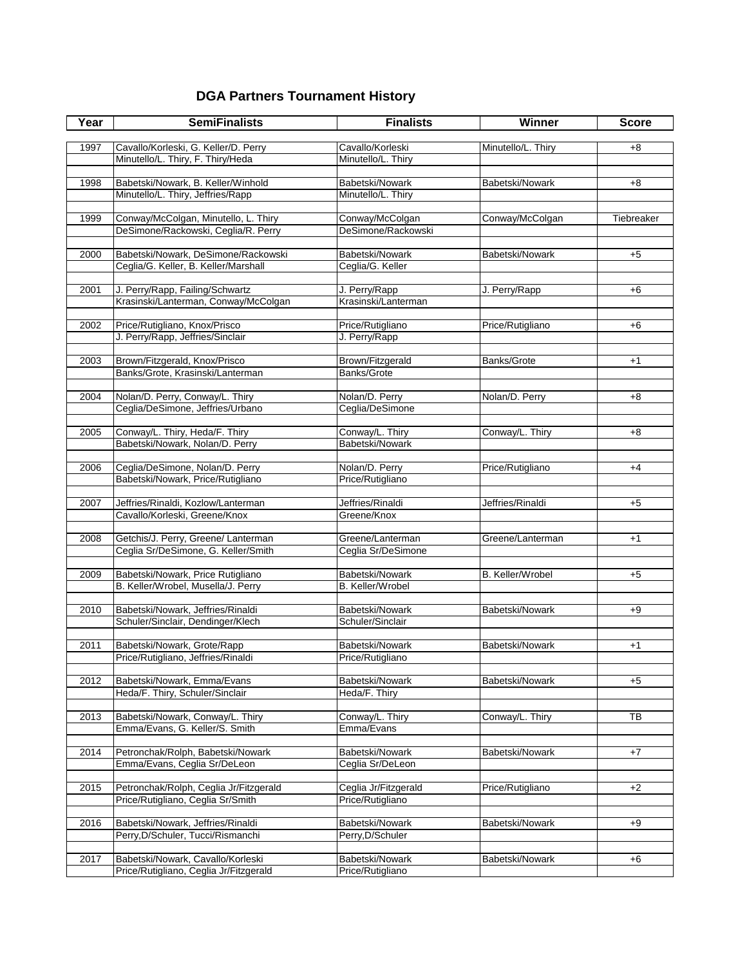## **DGA Partners Tournament History**

| Year | <b>SemiFinalists</b>                                                        | <b>Finalists</b>                         | Winner             | <b>Score</b> |
|------|-----------------------------------------------------------------------------|------------------------------------------|--------------------|--------------|
|      |                                                                             |                                          |                    |              |
| 1997 | Cavallo/Korleski, G. Keller/D. Perry                                        | Cavallo/Korleski                         | Minutello/L. Thiry | $+8$         |
|      | Minutello/L. Thiry, F. Thiry/Heda                                           | Minutello/L. Thiry                       |                    |              |
| 1998 | Babetski/Nowark, B. Keller/Winhold                                          | Babetski/Nowark                          | Babetski/Nowark    | +8           |
|      | Minutello/L. Thiry, Jeffries/Rapp                                           | Minutello/L. Thiry                       |                    |              |
|      |                                                                             |                                          |                    |              |
| 1999 | Conway/McColgan, Minutello, L. Thiry                                        | Conway/McColgan                          | Conway/McColgan    | Tiebreaker   |
|      | DeSimone/Rackowski, Ceglia/R. Perry                                         | DeSimone/Rackowski                       |                    |              |
|      |                                                                             |                                          |                    |              |
| 2000 | Babetski/Nowark, DeSimone/Rackowski                                         | Babetski/Nowark                          | Babetski/Nowark    | $+5$         |
|      | Ceglia/G. Keller, B. Keller/Marshall                                        | Ceglia/G. Keller                         |                    |              |
|      |                                                                             |                                          |                    |              |
| 2001 | J. Perry/Rapp, Failing/Schwartz<br>Krasinski/Lanterman, Conway/McColgan     | J. Perry/Rapp<br>Krasinski/Lanterman     | J. Perry/Rapp      | +6           |
|      |                                                                             |                                          |                    |              |
| 2002 | Price/Rutigliano, Knox/Prisco                                               | Price/Rutigliano                         | Price/Rutigliano   | $+6$         |
|      | J. Perry/Rapp, Jeffries/Sinclair                                            | J. Perry/Rapp                            |                    |              |
|      |                                                                             |                                          |                    |              |
| 2003 | Brown/Fitzgerald, Knox/Prisco                                               | Brown/Fitzgerald                         | Banks/Grote        | $+1$         |
|      | Banks/Grote, Krasinski/Lanterman                                            | Banks/Grote                              |                    |              |
|      |                                                                             |                                          |                    |              |
| 2004 | Nolan/D. Perry, Conway/L. Thiry                                             | Nolan/D. Perry                           | Nolan/D. Perry     | $+8$         |
|      | Ceglia/DeSimone, Jeffries/Urbano                                            | Ceglia/DeSimone                          |                    |              |
| 2005 | Conway/L. Thiry, Heda/F. Thiry                                              | Conway/L. Thiry                          | Conway/L. Thiry    | +8           |
|      | Babetski/Nowark, Nolan/D. Perry                                             | Babetski/Nowark                          |                    |              |
|      |                                                                             |                                          |                    |              |
| 2006 | Ceglia/DeSimone, Nolan/D. Perry                                             | Nolan/D. Perry                           | Price/Rutigliano   | $+4$         |
|      | Babetski/Nowark, Price/Rutigliano                                           | Price/Rutigliano                         |                    |              |
|      |                                                                             |                                          |                    |              |
| 2007 | Jeffries/Rinaldi, Kozlow/Lanterman                                          | Jeffries/Rinaldi                         | Jeffries/Rinaldi   | $+5$         |
|      | Cavallo/Korleski, Greene/Knox                                               | Greene/Knox                              |                    |              |
|      |                                                                             |                                          |                    |              |
| 2008 | Getchis/J. Perry, Greene/ Lanterman<br>Ceglia Sr/DeSimone, G. Keller/Smith  | Greene/Lanterman<br>Ceglia Sr/DeSimone   | Greene/Lanterman   | $+1$         |
|      |                                                                             |                                          |                    |              |
| 2009 | Babetski/Nowark, Price Rutigliano                                           | Babetski/Nowark                          | B. Keller/Wrobel   | $+5$         |
|      | B. Keller/Wrobel, Musella/J. Perry                                          | <b>B.</b> Keller/Wrobel                  |                    |              |
|      |                                                                             |                                          |                    |              |
| 2010 | Babetski/Nowark, Jeffries/Rinaldi                                           | Babetski/Nowark                          | Babetski/Nowark    | $+9$         |
|      | Schuler/Sinclair, Dendinger/Klech                                           | Schuler/Sinclair                         |                    |              |
|      |                                                                             |                                          |                    |              |
| 2011 | Babetski/Nowark, Grote/Rapp                                                 | Babetski/Nowark                          | Babetski/Nowark    | $+1$         |
|      | Price/Rutigliano, Jeffries/Rinaldi                                          | Price/Rutigliano                         |                    |              |
| 2012 | Babetski/Nowark, Emma/Evans                                                 | Babetski/Nowark                          | Babetski/Nowark    | +5           |
|      | Heda/F. Thiry, Schuler/Sinclair                                             | Heda/F. Thiry                            |                    |              |
|      |                                                                             |                                          |                    |              |
| 2013 | Babetski/Nowark, Conway/L. Thiry                                            | Conway/L. Thiry                          | Conway/L. Thiry    | TB           |
|      | Emma/Evans, G. Keller/S. Smith                                              | Emma/Evans                               |                    |              |
|      |                                                                             |                                          |                    |              |
| 2014 | Petronchak/Rolph, Babetski/Nowark                                           | Babetski/Nowark                          | Babetski/Nowark    | $+7$         |
|      | Emma/Evans, Ceglia Sr/DeLeon                                                | Ceglia Sr/DeLeon                         |                    |              |
|      |                                                                             |                                          |                    |              |
| 2015 | Petronchak/Rolph, Ceglia Jr/Fitzgerald<br>Price/Rutigliano, Ceglia Sr/Smith | Ceglia Jr/Fitzgerald<br>Price/Rutigliano | Price/Rutigliano   | $+2$         |
|      |                                                                             |                                          |                    |              |
| 2016 | Babetski/Nowark, Jeffries/Rinaldi                                           | Babetski/Nowark                          | Babetski/Nowark    | +9           |
|      | Perry, D/Schuler, Tucci/Rismanchi                                           | Perry, D/Schuler                         |                    |              |
|      |                                                                             |                                          |                    |              |
| 2017 | Babetski/Nowark, Cavallo/Korleski                                           | Babetski/Nowark                          | Babetski/Nowark    | +6           |
|      | Price/Rutigliano, Ceglia Jr/Fitzgerald                                      | Price/Rutigliano                         |                    |              |